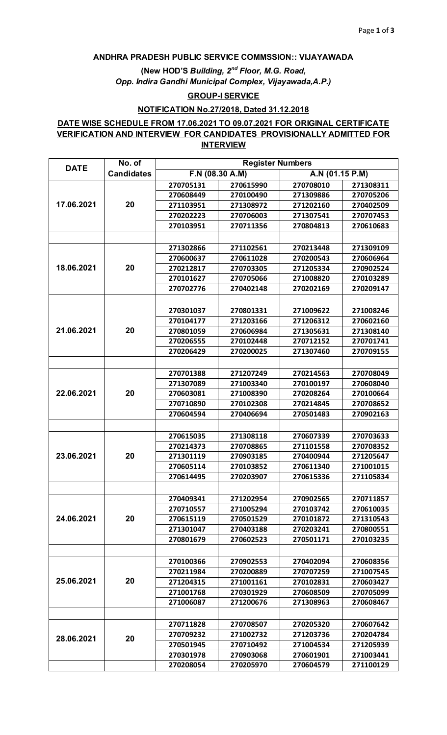#### **ANDHRA PRADESH PUBLIC SERVICE COMMSSION:: VIJAYAWADA**

**(New HOD'S** *Building, 2nd Floor, M.G. Road, Opp. Indira Gandhi Municipal Complex, Vijayawada,A.P.)* 

#### **GROUP-I SERVICE**

### **NOTIFICATION No.27/2018, Dated 31.12.2018**

## **DATE WISE SCHEDULE FROM 17.06.2021 TO 09.07.2021 FOR ORIGINAL CERTIFICATE VERIFICATION AND INTERVIEW FOR CANDIDATES PROVISIONALLY ADMITTED FOR INTERVIEW**

| <b>DATE</b> | No. of            | <b>Register Numbers</b> |           |                 |           |  |
|-------------|-------------------|-------------------------|-----------|-----------------|-----------|--|
|             | <b>Candidates</b> | $F.N$ (08.30 A.M)       |           | A.N (01.15 P.M) |           |  |
| 17.06.2021  |                   | 270705131               | 270615990 | 270708010       | 271308311 |  |
|             |                   | 270608449               | 270100490 | 271309886       | 270705206 |  |
|             | 20                | 271103951               | 271308972 | 271202160       | 270402509 |  |
|             |                   | 270202223               | 270706003 | 271307541       | 270707453 |  |
|             |                   | 270103951               | 270711356 | 270804813       | 270610683 |  |
|             |                   |                         |           |                 |           |  |
| 18.06.2021  | 20                | 271302866               | 271102561 | 270213448       | 271309109 |  |
|             |                   | 270600637               | 270611028 | 270200543       | 270606964 |  |
|             |                   | 270212817               | 270703305 | 271205334       | 270902524 |  |
|             |                   | 270101627               | 270705066 | 271008820       | 270103289 |  |
|             |                   | 270702776               | 270402148 | 270202169       | 270209147 |  |
|             |                   |                         |           |                 |           |  |
|             |                   | 270301037               | 270801331 | 271009622       | 271008246 |  |
|             |                   | 270104177               | 271203166 | 271206312       | 270602160 |  |
| 21.06.2021  | 20                | 270801059               | 270606984 | 271305631       | 271308140 |  |
|             |                   | 270206555               | 270102448 | 270712152       | 270701741 |  |
|             |                   | 270206429               | 270200025 | 271307460       | 270709155 |  |
|             |                   |                         |           |                 |           |  |
|             |                   | 270701388               | 271207249 | 270214563       | 270708049 |  |
|             |                   | 271307089               | 271003340 | 270100197       | 270608040 |  |
| 22.06.2021  | 20                | 270603081               | 271008390 | 270208264       | 270100664 |  |
|             |                   | 270710890               | 270102308 | 270214845       | 270708652 |  |
|             |                   | 270604594               | 270406694 | 270501483       | 270902163 |  |
|             |                   |                         |           |                 |           |  |
|             | 20                | 270615035               | 271308118 | 270607339       | 270703633 |  |
| 23.06.2021  |                   | 270214373               | 270708865 | 271101558       | 270708352 |  |
|             |                   | 271301119               | 270903185 | 270400944       | 271205647 |  |
|             |                   | 270605114               | 270103852 | 270611340       | 271001015 |  |
|             |                   | 270614495               | 270203907 | 270615336       | 271105834 |  |
|             |                   |                         |           |                 |           |  |
| 24.06.2021  | 20                | 270409341               | 271202954 | 270902565       | 270711857 |  |
|             |                   | 270710557               | 271005294 | 270103742       | 270610035 |  |
|             |                   | 270615119               | 270501529 | 270101872       | 271310543 |  |
|             |                   | 271301047               | 270403188 | 270203241       | 270800551 |  |
|             |                   | 270801679               | 270602523 | 270501171       | 270103235 |  |
|             |                   |                         |           |                 |           |  |
| 25.06.2021  | 20                | 270100366               | 270902553 | 270402094       | 270608356 |  |
|             |                   | 270211984               | 270200889 | 270707259       | 271007545 |  |
|             |                   | 271204315               | 271001161 | 270102831       | 270603427 |  |
|             |                   | 271001768               | 270301929 | 270608509       | 270705099 |  |
|             |                   | 271006087               | 271200676 | 271308963       | 270608467 |  |
|             |                   |                         |           |                 |           |  |
| 28.06.2021  | 20                | 270711828               | 270708507 | 270205320       | 270607642 |  |
|             |                   | 270709232               | 271002732 | 271203736       | 270204784 |  |
|             |                   | 270501945               | 270710492 | 271004534       | 271205939 |  |
|             |                   | 270301978               | 270903068 | 270601901       | 271003441 |  |
|             |                   | 270208054               | 270205970 | 270604579       | 271100129 |  |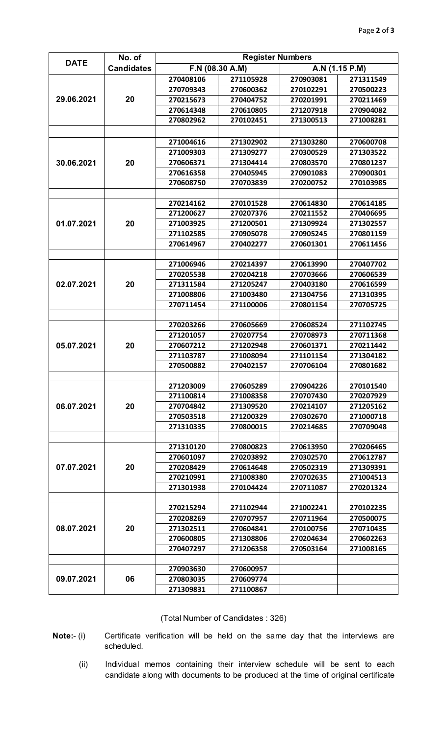|             | No. of            | <b>Register Numbers</b> |           |                |           |  |
|-------------|-------------------|-------------------------|-----------|----------------|-----------|--|
| <b>DATE</b> | <b>Candidates</b> | F.N (08.30 A.M)         |           | A.N (1.15 P.M) |           |  |
| 29.06.2021  |                   | 270408106               | 271105928 | 270903081      | 271311549 |  |
|             |                   | 270709343               | 270600362 | 270102291      | 270500223 |  |
|             | 20                | 270215673               | 270404752 | 270201991      | 270211469 |  |
|             |                   | 270614348               | 270610805 | 271207918      | 270904082 |  |
|             |                   | 270802962               | 270102451 | 271300513      | 271008281 |  |
|             |                   |                         |           |                |           |  |
| 30.06.2021  | 20                | 271004616               | 271302902 | 271303280      | 270600708 |  |
|             |                   | 271009303               | 271309277 | 270300529      | 271303522 |  |
|             |                   | 270606371               | 271304414 | 270803570      | 270801237 |  |
|             |                   | 270616358               | 270405945 | 270901083      | 270900301 |  |
|             |                   | 270608750               | 270703839 | 270200752      | 270103985 |  |
|             |                   |                         |           |                |           |  |
|             | 20                | 270214162               | 270101528 | 270614830      | 270614185 |  |
|             |                   | 271200627               | 270207376 | 270211552      | 270406695 |  |
| 01.07.2021  |                   | 271003925               | 271200501 | 271309924      | 271302557 |  |
|             |                   | 271102585               | 270905078 | 270905245      | 270801159 |  |
|             |                   | 270614967               | 270402277 | 270601301      | 270611456 |  |
|             |                   |                         |           |                |           |  |
|             | 20                | 271006946               | 270214397 | 270613990      | 270407702 |  |
|             |                   | 270205538               | 270204218 | 270703666      | 270606539 |  |
| 02.07.2021  |                   | 271311584               | 271205247 | 270403180      | 270616599 |  |
|             |                   | 271008806               | 271003480 | 271304756      | 271310395 |  |
|             |                   | 270711454               | 271100006 | 270801154      | 270705725 |  |
|             |                   |                         |           |                |           |  |
| 05.07.2021  | 20                | 270203266               | 270605669 | 270608524      | 271102745 |  |
|             |                   | 271201057               | 270207754 | 270708973      | 270711368 |  |
|             |                   | 270607212               | 271202948 | 270601371      | 270211442 |  |
|             |                   | 271103787               | 271008094 | 271101154      | 271304182 |  |
|             |                   | 270500882               | 270402157 | 270706104      | 270801682 |  |
|             |                   |                         |           |                |           |  |
| 06.07.2021  | 20                | 271203009               | 270605289 | 270904226      | 270101540 |  |
|             |                   | 271100814               | 271008358 | 270707430      | 270207929 |  |
|             |                   | 270704842               | 271309520 | 270214107      | 271205162 |  |
|             |                   | 270503518               | 271200329 | 270302670      | 271000718 |  |
|             |                   | 271310335               | 270800015 | 270214685      | 270709048 |  |
|             |                   |                         |           |                |           |  |
| 07.07.2021  | 20                | 271310120               | 270800823 | 270613950      | 270206465 |  |
|             |                   | 270601097               | 270203892 | 270302570      | 270612787 |  |
|             |                   | 270208429               | 270614648 | 270502319      | 271309391 |  |
|             |                   | 270210991               | 271008380 | 270702635      | 271004513 |  |
|             |                   | 271301938               | 270104424 | 270711087      | 270201324 |  |
| 08.07.2021  | 20                |                         |           |                |           |  |
|             |                   | 270215294               | 271102944 | 271002241      | 270102235 |  |
|             |                   | 270208269               | 270707957 | 270711964      | 270500075 |  |
|             |                   | 271302511               | 270604841 | 270100756      | 270710435 |  |
|             |                   | 270600805               | 271308806 | 270204634      | 270602263 |  |
|             |                   | 270407297               | 271206358 | 270503164      | 271008165 |  |
|             |                   | 270903630               | 270600957 |                |           |  |
| 09.07.2021  | 06                | 270803035               | 270609774 |                |           |  |
|             |                   | 271309831               | 271100867 |                |           |  |
|             |                   |                         |           |                |           |  |

# (Total Number of Candidates : 326)

- **Note:** (i) Certificate verification will be held on the same day that the interviews are scheduled.
	- (ii) Individual memos containing their interview schedule will be sent to each candidate along with documents to be produced at the time of original certificate